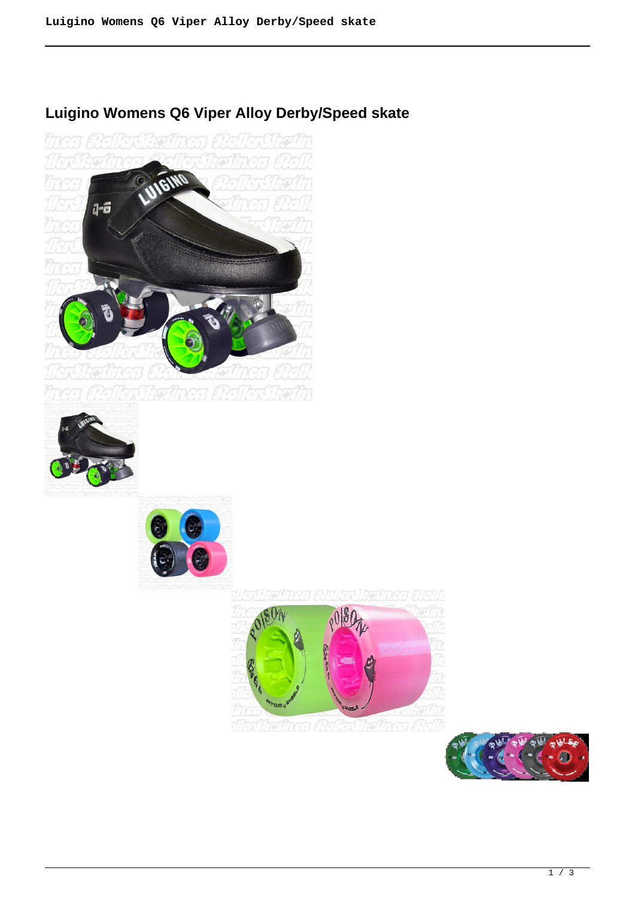

# **Luigino Womens Q6 Viper Alloy Derby/Speed skate**







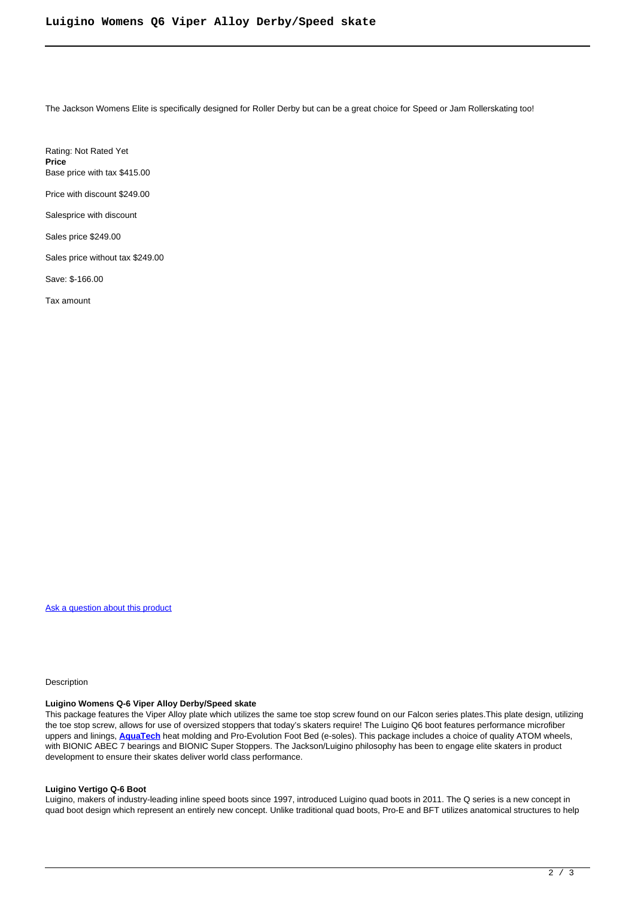The Jackson Womens Elite is specifically designed for Roller Derby but can be a great choice for Speed or Jam Rollerskating too!

Rating: Not Rated Yet **Price**  Base price with tax \$415.00

Price with discount \$249.00

Salesprice with discount

Sales price \$249.00

Sales price without tax \$249.00

Save: \$-166.00

Tax amount

[Ask a question about this product](https://rollerskatin.ca/index.php?option=com_virtuemart&view=productdetails&task=askquestion&virtuemart_product_id=1194&virtuemart_category_id=28&tmpl=component)

Description

## **Luigino Womens Q-6 Viper Alloy Derby/Speed skate**

This package features the Viper Alloy plate which utilizes the same toe stop screw found on our Falcon series plates.This plate design, utilizing the toe stop screw, allows for use of oversized stoppers that today's skaters require! The Luigino Q6 boot features performance microfiber uppers and linings, **[AquaTech](https://atomskates.com/pages/quad-boot-technology)** heat molding and Pro-Evolution Foot Bed (e-soles). This package includes a choice of quality ATOM wheels, with BIONIC ABEC 7 bearings and BIONIC Super Stoppers. The Jackson/Luigino philosophy has been to engage elite skaters in product development to ensure their skates deliver world class performance.

## **Luigino Vertigo Q-6 Boot**

Luigino, makers of industry-leading inline speed boots since 1997, introduced Luigino quad boots in 2011. The Q series is a new concept in quad boot design which represent an entirely new concept. Unlike traditional quad boots, Pro-E and BFT utilizes anatomical structures to help